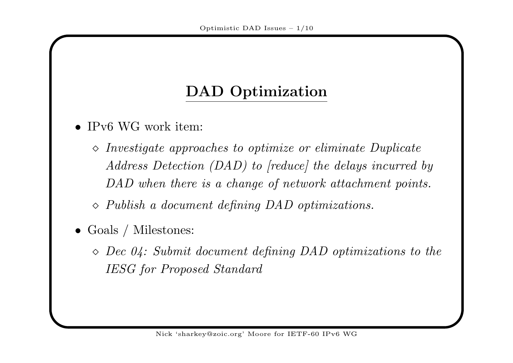## DAD Optimization

- IPv6 WG work item:
	- $\diamond$  Investigate approaches to optimize or eliminate Duplicate Address Detection (DAD) to [reduce] the delays incurred by DAD when there is a change of network attachment points.
	- $\Diamond$  Publish a document defining DAD optimizations.
- Goals / Milestones:
	- $\Diamond$  Dec 04: Submit document defining DAD optimizations to the IESG for Proposed Standard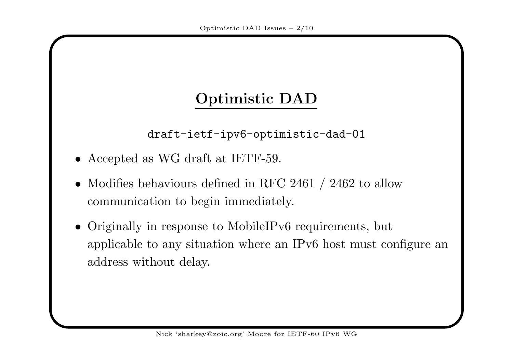## Optimistic DAD

draft-ietf-ipv6-optimistic-dad-01

- Accepted as WG draft at IETF-59.
- Modifies behaviours defined in RFC 2461 / 2462 to allow communication to begin immediately.
- Originally in response to MobileIPv6 requirements, but applicable to any situation where an IPv6 host must configure <sup>a</sup>naddress without delay.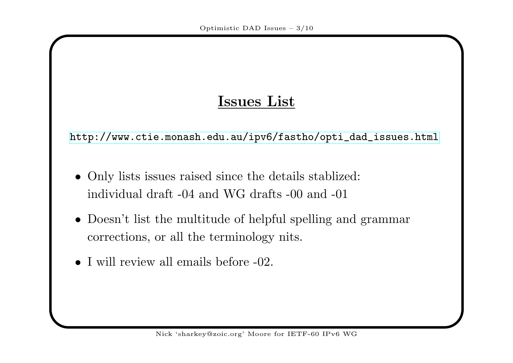### Issues List

[http://www.ctie.monash.edu.au/ipv6/fastho/opti\\_dad\\_issues.html](http://www.ctie.monash.edu.au/ipv6/fastho/opti_dad_issues.html)

- Only lists issues raised since the details stablized: individual draft -04 and WG drafts -00 and -01
- Doesn't list the multitude of helpful spelling and grammar corrections, or all the terminology nits.
- <sup>I</sup> will review all emails before -02.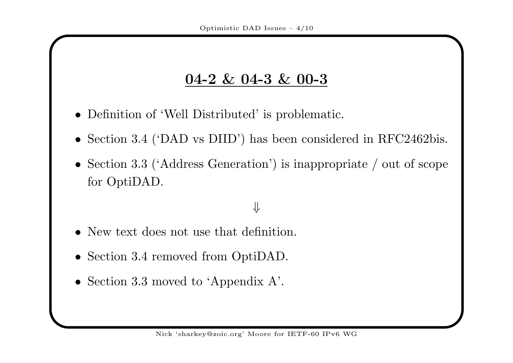### 04-2 & 04-3 & 00-3

- Definition of 'Well Distributed' is problematic.
- Section 3.4 ('DAD vs DIID') has been considered in RFC2462bis.
- Section 3.3 ('Address Generation') is inappropriate / out of scope for OptiDAD.

# ⇓

- New text does not use that definition.
- Section 3.4 removed from OptiDAD.
- Section 3.3 moved to 'Appendix A'.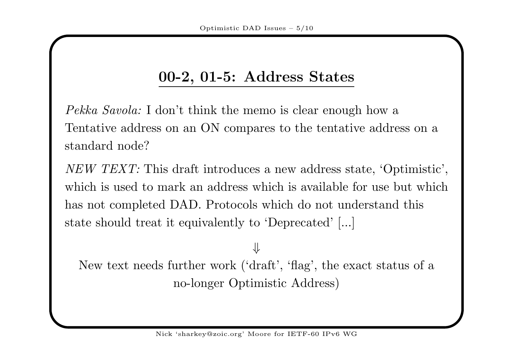## 00-2, 01-5: Address States

Pekka Savola: I don't think the memo is clear enough how a Tentative address on an ON compares to the tentative address on <sup>a</sup>standard node?

 $NEW \text{ } TEXT:$  This draft introduces a new address state, 'Optimistic', which is used to mark an address which is available for use but whichhas not completed DAD. Protocols which do not understand thisstate should treat it equivalently to 'Deprecated' [...]

### ⇓ New text needs further work ('draft', 'flag', the exact status of <sup>a</sup>no-longer Optimistic Address)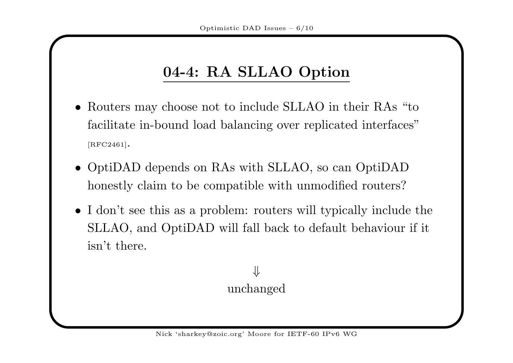# 04-4: RA SLLAO Option

- Routers may choose not to include SLLAO in their RAs "to facilitate in-bound load balancing over replicated interfaces"[RFC2461].
- OptiDAD depends on RAs with SLLAO, so can OptiDADhonestly claim to be compatible with unmodified routers?
- <sup>I</sup> don't see this as <sup>a</sup> problem: routers will typically include the SLLAO, and OptiDAD will fall back to default behaviour if itisn't there.

#### ⇓unchanged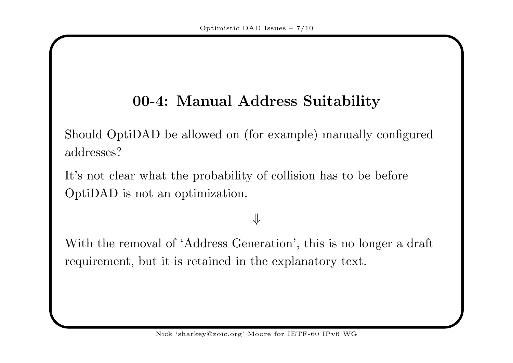## 00-4: Manual Address Suitability

Should OptiDAD be allowed on (for example) manually configuredaddresses?

It's not clear what the probability of collision has to be beforeOptiDAD is not an optimization.

## ⇓

With the removal of 'Address Generation', this is no longer <sup>a</sup> draft requirement, but it is retained in the explanatory text.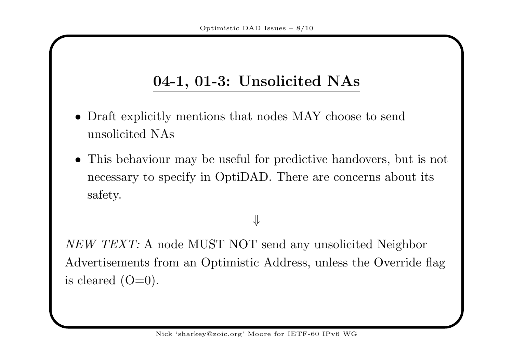## 04-1, 01-3: Unsolicited NAs

- Draft explicitly mentions that nodes MAY choose to sendunsolicited NAs
- This behaviour may be useful for predictive handovers, but is not necessary to specify in OptiDAD. There are concerns about itssafety.

#### ⇓

 $NEW \text{ } TEXT: \text{ A node MUST NOT send any unsolicited Neighbour}$ Advertisements from an Optimistic Address, unless the Override flagis cleared  $(O=0)$ .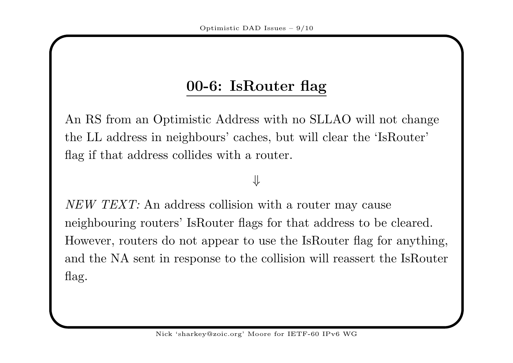# 00-6: IsRouter flag

An RS from an Optimistic Address with no SLLAO will not changethe LL address in neighbours' caches, but will clear the 'IsRouter'flag if that address collides with <sup>a</sup> router.

#### ⇓

 $NEW \text{ } TEXT:$  An address collision with a router may cause neighbouring routers' IsRouter flags for that address to be cleared.However, routers do not appear to use the IsRouter flag for anything,and the NA sent in response to the collision will reassert the IsRouter flag.